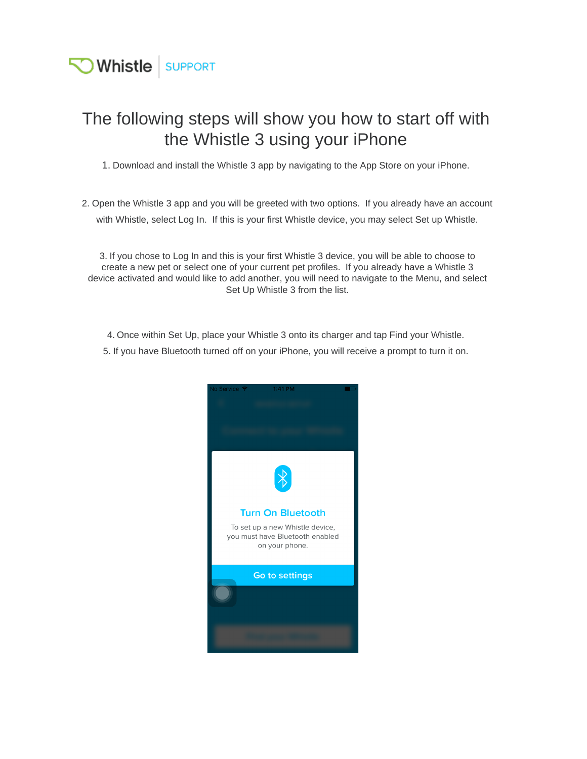

## The following steps will show you how to start off with the Whistle 3 using your iPhone

1. Download and install the Whistle 3 app by navigating to the App Store on your iPhone.

2. Open the Whistle 3 app and you will be greeted with two options. If you already have an account with Whistle, select Log In. If this is your first Whistle device, you may select Set up Whistle.

3. If you chose to Log In and this is your first Whistle 3 device, you will be able to choose to create a new pet or select one of your current pet profiles. If you already have a Whistle 3 device activated and would like to add another, you will need to navigate to the Menu, and select Set Up Whistle 3 from the list.

- 4. Once within Set Up, place your Whistle 3 onto its charger and tap Find your Whistle.
- 5. If you have Bluetooth turned off on your iPhone, you will receive a prompt to turn it on.

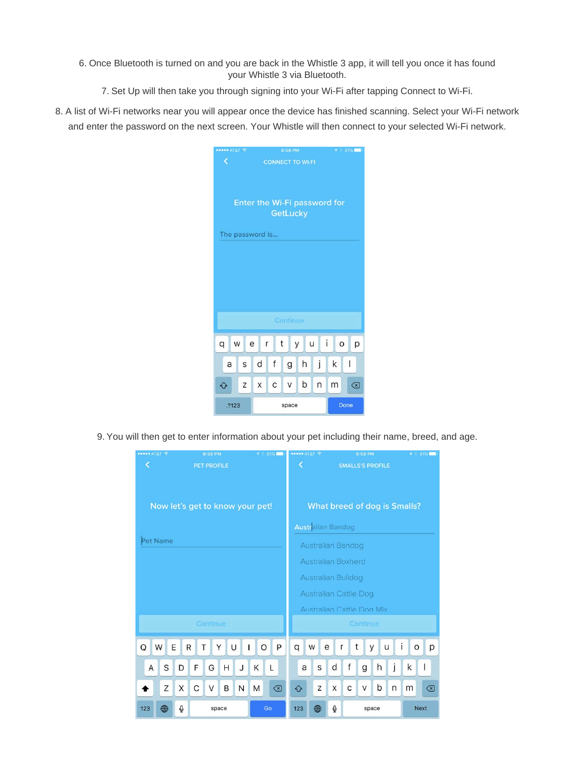- 6. Once Bluetooth is turned on and you are back in the Whistle 3 app, it will tell you once it has found your Whistle 3 via Bluetooth.
	- 7. Set Up will then take you through signing into your Wi-Fi after tapping Connect to Wi-Fi.
- 8. A list of Wi-Fi networks near you will appear once the device has finished scanning. Select your Wi-Fi network and enter the password on the next screen. Your Whistle will then connect to your selected Wi-Fi network.

| $\bullet\bullet\bullet\bullet$ AT&T $\widehat{\phantom{a}}$ | 8:58 PM                          | 81%<br>$\tau$ . |  |  |  |  |  |
|-------------------------------------------------------------|----------------------------------|-----------------|--|--|--|--|--|
| K                                                           | <b>CONNECT TO WI-FI</b>          |                 |  |  |  |  |  |
|                                                             |                                  |                 |  |  |  |  |  |
|                                                             |                                  |                 |  |  |  |  |  |
|                                                             |                                  |                 |  |  |  |  |  |
| Enter the Wi-Fi password for                                |                                  |                 |  |  |  |  |  |
| GetLucky                                                    |                                  |                 |  |  |  |  |  |
| The password is                                             |                                  |                 |  |  |  |  |  |
|                                                             |                                  |                 |  |  |  |  |  |
|                                                             |                                  |                 |  |  |  |  |  |
|                                                             |                                  |                 |  |  |  |  |  |
|                                                             |                                  |                 |  |  |  |  |  |
|                                                             |                                  |                 |  |  |  |  |  |
|                                                             |                                  |                 |  |  |  |  |  |
|                                                             |                                  |                 |  |  |  |  |  |
| Continue                                                    |                                  |                 |  |  |  |  |  |
|                                                             | $\mathbf{i}$                     |                 |  |  |  |  |  |
| W<br>q<br>е                                                 | t<br>$\cup$<br>$\mathsf{r}$<br>У | $\circ$<br>р    |  |  |  |  |  |
| S<br>a                                                      | $\mathsf f$<br>j<br>h<br>d<br>g  | I<br>k          |  |  |  |  |  |
|                                                             |                                  |                 |  |  |  |  |  |
| Z<br>⇧                                                      | b<br>С<br>n<br>X<br>V            | m<br>⊗          |  |  |  |  |  |
|                                                             |                                  |                 |  |  |  |  |  |
| .?123                                                       | space                            | Done            |  |  |  |  |  |

9. You will then get to enter information about your pet including their name, breed, and age.

| ••••• AT&T 全<br>8:58 PM         | $7$ 81%                             | <b>***** AT&amp;T 全</b>          | 8:59 PM               | $\tau$ 81%                   |  |
|---------------------------------|-------------------------------------|----------------------------------|-----------------------|------------------------------|--|
| K<br><b>PET PROFILE</b>         | ∢<br><b>SMALLS'S PROFILE</b>        |                                  |                       |                              |  |
| Now let's get to know your pet! | <b>What breed of dog is Smalls?</b> |                                  |                       |                              |  |
|                                 | <b>Australian Bandog</b>            |                                  |                       |                              |  |
| Pet Name                        | Australian Bandog                   |                                  |                       |                              |  |
|                                 |                                     | <b>Australian Boxherd</b>        |                       |                              |  |
|                                 | Australian Bulldog                  |                                  |                       |                              |  |
|                                 |                                     | <b>Australian Cattle Dog</b>     |                       |                              |  |
|                                 |                                     | <b>Australian Cattle Dog Mix</b> |                       |                              |  |
| Continue                        | Continue                            |                                  |                       |                              |  |
| Q<br>E<br>W<br>R<br>$\top$<br>Y | P<br>U<br>O<br>I                    | q<br>W<br>е                      | t<br>u<br>y<br>r      | p<br>T<br>$\circ$            |  |
| S<br>F<br>D<br>G<br>A           | Κ<br>н<br>J<br>L                    | S<br>a                           | j<br>f<br>d<br>h<br>g | I<br>k                       |  |
| Z<br>C<br>X<br>V<br>B           | N<br>M<br>$\circledcirc$            | Z<br>⇧                           | b<br>X<br>C<br>V<br>n | m<br>$\left( \nabla \right)$ |  |
| $\Phi$<br>123<br>⊕<br>space     | Go                                  | $\bigoplus$<br>123               | $\Phi$<br>space       | <b>Next</b>                  |  |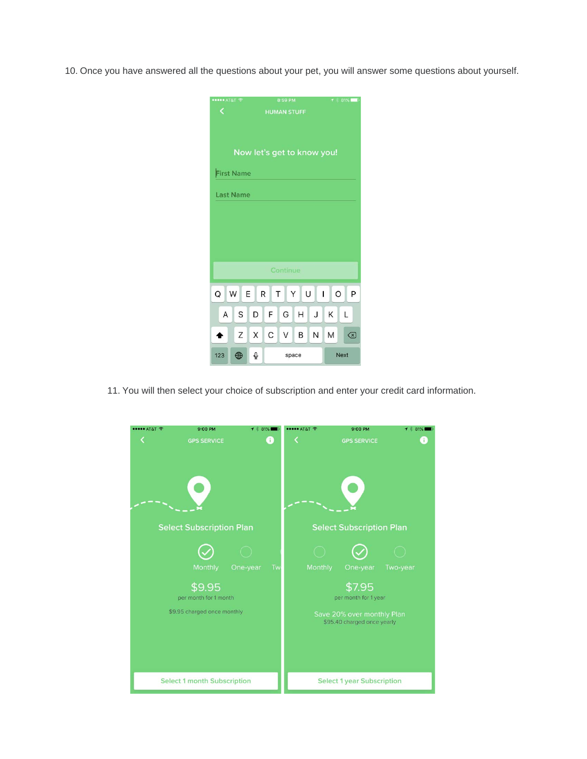10. Once you have answered all the questions about your pet, you will answer some questions about yourself.

| ····· AT&T ←                                                         |                    |   |   | 8:59 PM |       |   |   | $81\%$      |
|----------------------------------------------------------------------|--------------------|---|---|---------|-------|---|---|-------------|
| ∢                                                                    | <b>HUMAN STUFF</b> |   |   |         |       |   |   |             |
|                                                                      |                    |   |   |         |       |   |   |             |
|                                                                      |                    |   |   |         |       |   |   |             |
| Now let's get to know you!                                           |                    |   |   |         |       |   |   |             |
| <b>First Name</b>                                                    |                    |   |   |         |       |   |   |             |
| <b>Last Name</b>                                                     |                    |   |   |         |       |   |   |             |
|                                                                      |                    |   |   |         |       |   |   |             |
|                                                                      |                    |   |   |         |       |   |   |             |
|                                                                      |                    |   |   |         |       |   |   |             |
|                                                                      |                    |   |   |         |       |   |   |             |
| Continue                                                             |                    |   |   |         |       |   |   |             |
| U<br>$\circ$<br>E<br>R<br>$\top$<br>Y<br>$\mathbf{1}$<br>P<br>Q<br>W |                    |   |   |         |       |   |   |             |
|                                                                      |                    |   |   |         |       |   |   |             |
| Α                                                                    | S                  | D | F | G       | Η     | J | Κ | L           |
|                                                                      | Ζ                  | X | C | $\vee$  | B     | N | M | ⊗           |
| 123                                                                  | ⊕                  | ℚ |   |         | space |   |   | <b>Next</b> |

11. You will then select your choice of subscription and enter your credit card information.